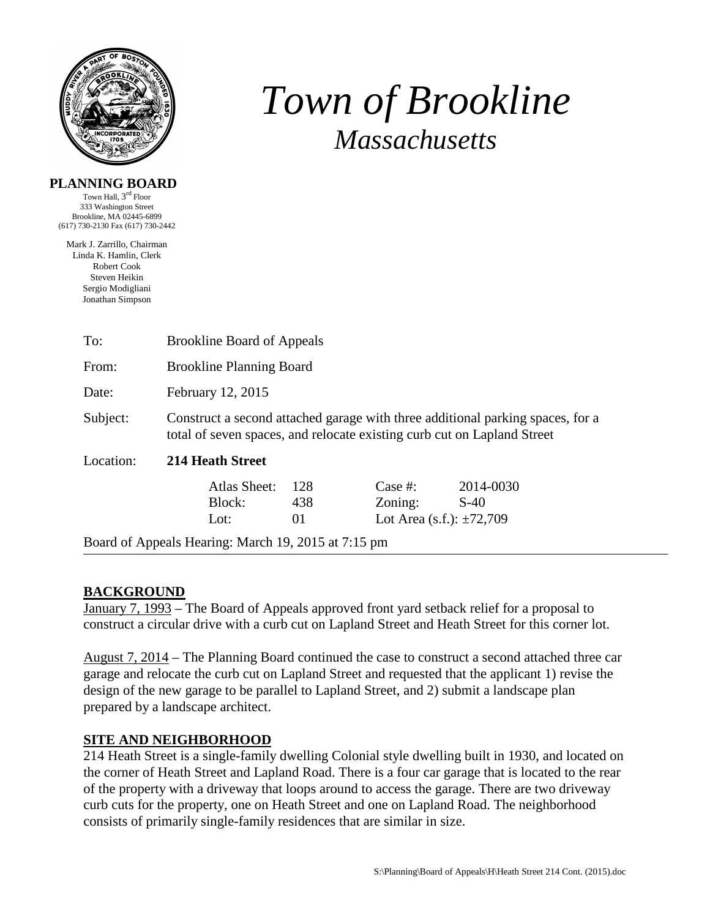

# *Town of Brookline Massachusetts*

# **PLANNING BOARD**

Town Hall, 3rd Floor 333 Washington Street Brookline, MA 02445-6899 (617) 730-2130 Fax (617) 730-2442

Mark J. Zarrillo, Chairman Linda K. Hamlin, Clerk Robert Cook Steven Heikin Sergio Modigliani Jonathan Simpson

| To:                                                 | <b>Brookline Board of Appeals</b>                                                                                                                         |                  |                                                     |                     |  |  |  |
|-----------------------------------------------------|-----------------------------------------------------------------------------------------------------------------------------------------------------------|------------------|-----------------------------------------------------|---------------------|--|--|--|
| From:                                               | <b>Brookline Planning Board</b>                                                                                                                           |                  |                                                     |                     |  |  |  |
| Date:                                               | February 12, 2015                                                                                                                                         |                  |                                                     |                     |  |  |  |
| Subject:                                            | Construct a second attached garage with three additional parking spaces, for a<br>total of seven spaces, and relocate existing curb cut on Lapland Street |                  |                                                     |                     |  |  |  |
| Location:                                           | 214 Heath Street                                                                                                                                          |                  |                                                     |                     |  |  |  |
|                                                     | Atlas Sheet:<br>Block:<br>Lot:                                                                                                                            | 128<br>438<br>01 | Case #:<br>Zoning:<br>Lot Area (s.f.): $\pm 72,709$ | 2014-0030<br>$S-40$ |  |  |  |
| Board of Appeals Hearing: March 19, 2015 at 7:15 pm |                                                                                                                                                           |                  |                                                     |                     |  |  |  |

# **BACKGROUND**

January 7, 1993 – The Board of Appeals approved front yard setback relief for a proposal to construct a circular drive with a curb cut on Lapland Street and Heath Street for this corner lot.

August 7, 2014 – The Planning Board continued the case to construct a second attached three car garage and relocate the curb cut on Lapland Street and requested that the applicant 1) revise the design of the new garage to be parallel to Lapland Street, and 2) submit a landscape plan prepared by a landscape architect.

# **SITE AND NEIGHBORHOOD**

214 Heath Street is a single-family dwelling Colonial style dwelling built in 1930, and located on the corner of Heath Street and Lapland Road. There is a four car garage that is located to the rear of the property with a driveway that loops around to access the garage. There are two driveway curb cuts for the property, one on Heath Street and one on Lapland Road. The neighborhood consists of primarily single-family residences that are similar in size.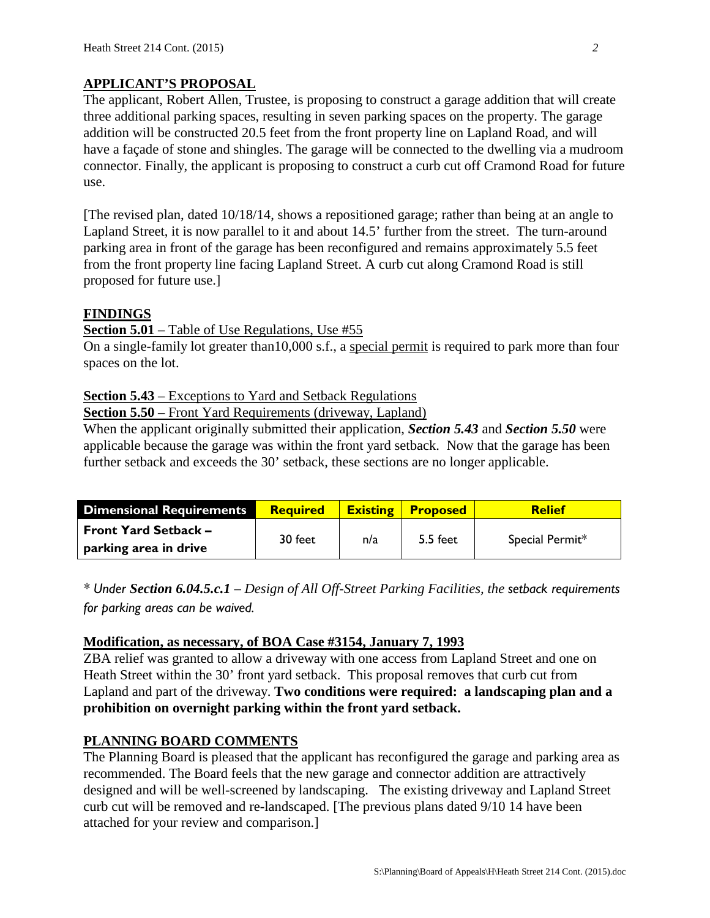# **APPLICANT'S PROPOSAL**

The applicant, Robert Allen, Trustee, is proposing to construct a garage addition that will create three additional parking spaces, resulting in seven parking spaces on the property. The garage addition will be constructed 20.5 feet from the front property line on Lapland Road, and will have a façade of stone and shingles. The garage will be connected to the dwelling via a mudroom connector. Finally, the applicant is proposing to construct a curb cut off Cramond Road for future use.

[The revised plan, dated 10/18/14, shows a repositioned garage; rather than being at an angle to Lapland Street, it is now parallel to it and about 14.5' further from the street. The turn-around parking area in front of the garage has been reconfigured and remains approximately 5.5 feet from the front property line facing Lapland Street. A curb cut along Cramond Road is still proposed for future use.]

# **FINDINGS**

#### **Section 5.01** – Table of Use Regulations, Use #55

On a single-family lot greater than10,000 s.f., a special permit is required to park more than four spaces on the lot.

#### **Section 5.43** – Exceptions to Yard and Setback Regulations

**Section 5.50** – Front Yard Requirements (driveway, Lapland)

When the applicant originally submitted their application, *Section 5.43* and *Section 5.50* were applicable because the garage was within the front yard setback. Now that the garage has been further setback and exceeds the 30' setback, these sections are no longer applicable.

| <b>Dimensional Requirements</b> | <b>Required</b> | <b>Existing</b> | <b>Proposed</b> | <b>Relief</b>   |
|---------------------------------|-----------------|-----------------|-----------------|-----------------|
| <b>Front Yard Setback -</b>     | 30 feet         | n/a             | 5.5 feet        | Special Permit* |
| $\,$ parking area in drive      |                 |                 |                 |                 |

*\* Under Section 6.04.5.c.1 – Design of All Off-Street Parking Facilities, the setback requirements for parking areas can be waived.*

#### **Modification, as necessary, of BOA Case #3154, January 7, 1993**

ZBA relief was granted to allow a driveway with one access from Lapland Street and one on Heath Street within the 30' front yard setback. This proposal removes that curb cut from Lapland and part of the driveway. **Two conditions were required: a landscaping plan and a prohibition on overnight parking within the front yard setback.**

## **PLANNING BOARD COMMENTS**

The Planning Board is pleased that the applicant has reconfigured the garage and parking area as recommended. The Board feels that the new garage and connector addition are attractively designed and will be well-screened by landscaping. The existing driveway and Lapland Street curb cut will be removed and re-landscaped. [The previous plans dated 9/10 14 have been attached for your review and comparison.]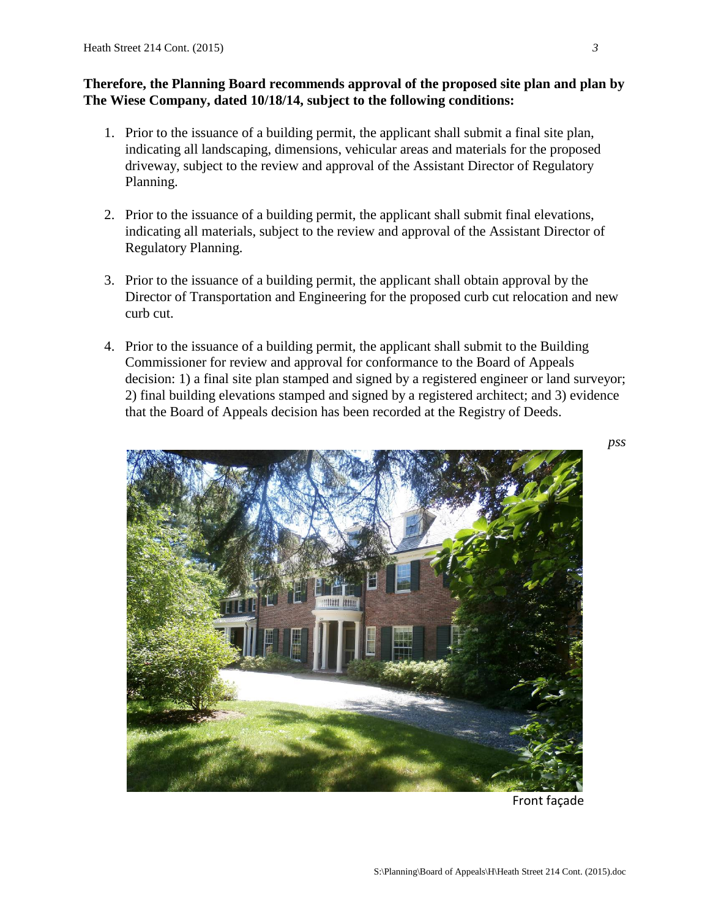# **Therefore, the Planning Board recommends approval of the proposed site plan and plan by The Wiese Company, dated 10/18/14, subject to the following conditions:**

- 1. Prior to the issuance of a building permit, the applicant shall submit a final site plan, indicating all landscaping, dimensions, vehicular areas and materials for the proposed driveway, subject to the review and approval of the Assistant Director of Regulatory Planning.
- 2. Prior to the issuance of a building permit, the applicant shall submit final elevations, indicating all materials, subject to the review and approval of the Assistant Director of Regulatory Planning.
- 3. Prior to the issuance of a building permit, the applicant shall obtain approval by the Director of Transportation and Engineering for the proposed curb cut relocation and new curb cut.
- 4. Prior to the issuance of a building permit, the applicant shall submit to the Building Commissioner for review and approval for conformance to the Board of Appeals decision: 1) a final site plan stamped and signed by a registered engineer or land surveyor; 2) final building elevations stamped and signed by a registered architect; and 3) evidence that the Board of Appeals decision has been recorded at the Registry of Deeds.



Front façade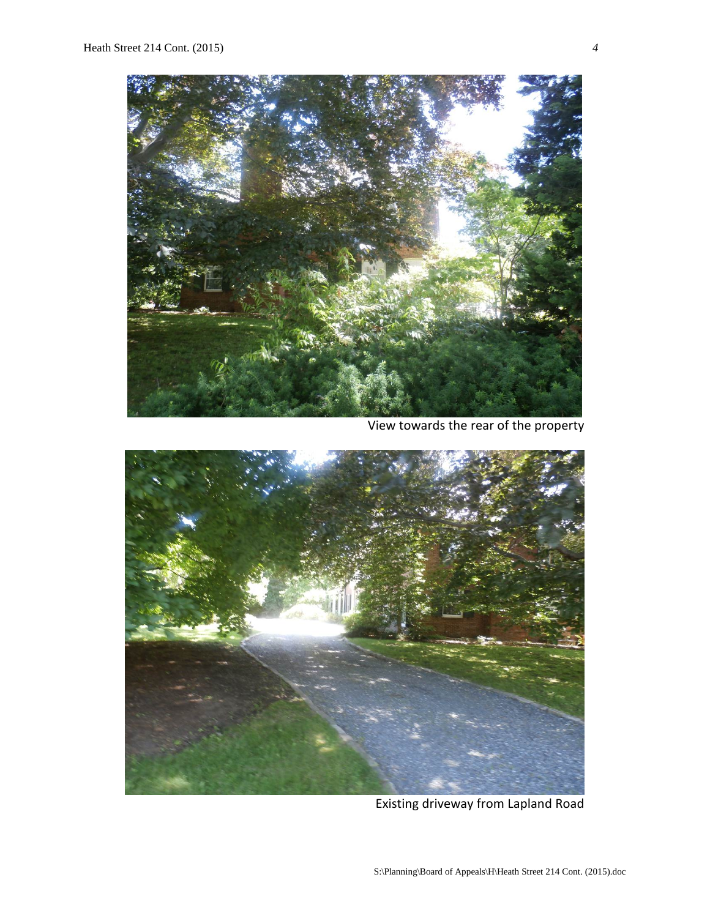

View towards the rear of the property



Existing driveway from Lapland Road